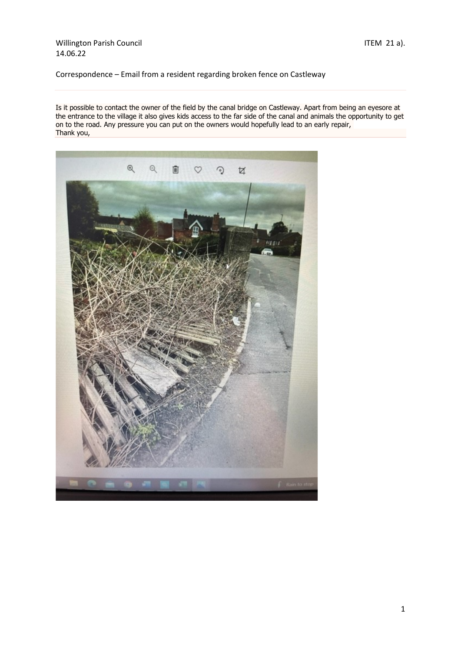## Willington Parish Council and Texas and Texas and Texas and ITEM 21 a). 14.06.22

Correspondence – Email from a resident regarding broken fence on Castleway

Is it possible to contact the owner of the field by the canal bridge on Castleway. Apart from being an eyesore at the entrance to the village it also gives kids access to the far side of the canal and animals the opportunity to get on to the road. Any pressure you can put on the owners would hopefully lead to an early repair, Thank you,

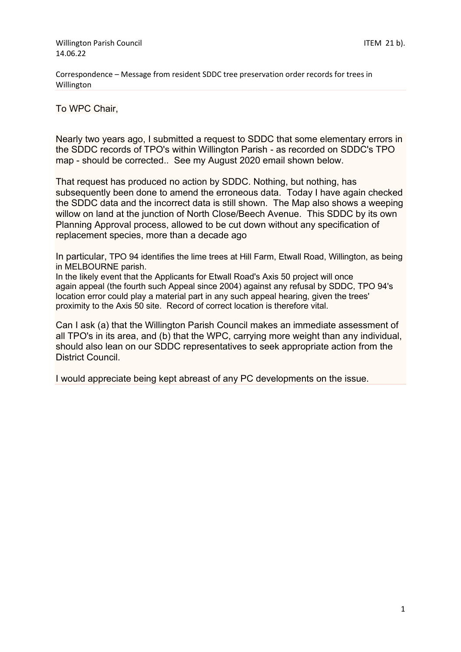Correspondence – Message from resident SDDC tree preservation order records for trees in Willington

To WPC Chair,

Nearly two years ago, I submitted a request to SDDC that some elementary errors in the SDDC records of TPO's within Willington Parish - as recorded on SDDC's TPO map - should be corrected.. See my August 2020 email shown below.

That request has produced no action by SDDC. Nothing, but nothing, has subsequently been done to amend the erroneous data. Today I have again checked the SDDC data and the incorrect data is still shown. The Map also shows a weeping willow on land at the junction of North Close/Beech Avenue. This SDDC by its own Planning Approval process, allowed to be cut down without any specification of replacement species, more than a decade ago

In particular, TPO 94 identifies the lime trees at Hill Farm, Etwall Road, Willington, as being in MELBOURNE parish.

In the likely event that the Applicants for Etwall Road's Axis 50 project will once again appeal (the fourth such Appeal since 2004) against any refusal by SDDC, TPO 94's location error could play a material part in any such appeal hearing, given the trees' proximity to the Axis 50 site. Record of correct location is therefore vital.

Can I ask (a) that the Willington Parish Council makes an immediate assessment of all TPO's in its area, and (b) that the WPC, carrying more weight than any individual, should also lean on our SDDC representatives to seek appropriate action from the District Council.

I would appreciate being kept abreast of any PC developments on the issue.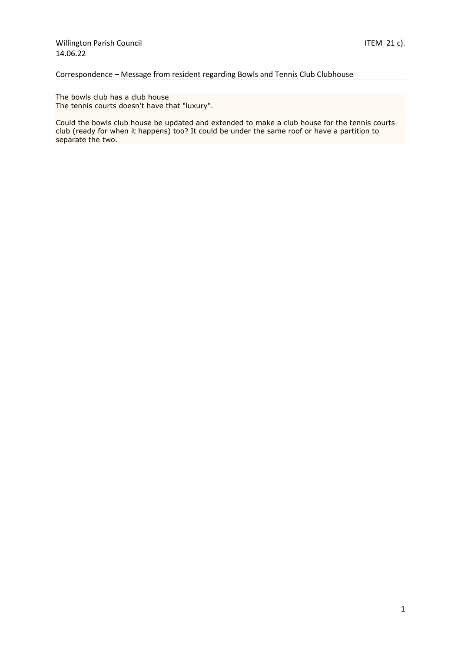# Correspondence – Message from resident regarding Bowls and Tennis Club Clubhouse

The bowls club has a club house The tennis courts doesn't have that "luxury".

Could the bowls club house be updated and extended to make a club house for the tennis courts club (ready for when it happens) too? It could be under the same roof or have a partition to separate the two.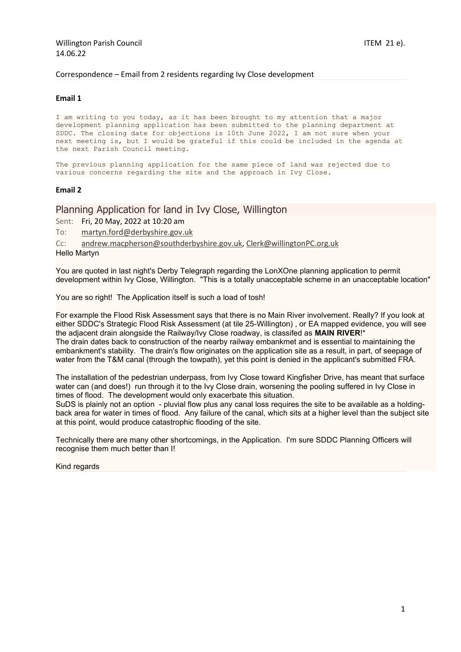#### Correspondence – Email from 2 residents regarding Ivy Close development

### **Email 1**

I am writing to you today, as it has been brought to my attention that a major development planning application has been submitted to the planning department at SDDC. The closing date for objections is 10th June 2022, I am not sure when your next meeting is, but I would be grateful if this could be included in the agenda at the next Parish Council meeting.

The previous planning application for the same piece of land was rejected due to various concerns regarding the site and the approach in Ivy Close.

### **Email 2**

## Planning Application for land in Ivy Close, Willington

Sent: Fri, 20 May, 2022 at 10:20 am

To: [martyn.ford@derbyshire.gov.uk](javascript:void(0);)

Cc: [andrew.macpherson@southderbyshire.gov.uk,](javascript:void(0);) [Clerk@willingtonPC.org.uk](javascript:void(0);)

Hello Martyn

You are quoted in last night's Derby Telegraph regarding the LonXOne planning application to permit development within Ivy Close, Willington. "This is a totally unacceptable scheme in an unacceptable location"

You are so right! The Application itself is such a load of tosh!

For example the Flood Risk Assessment says that there is no Main River involvement. Really? If you look at either SDDC's Strategic Flood Risk Assessment (at tile 25-Willington) , or EA mapped evidence, you will see the adjacent drain alongside the Railway/Ivy Close roadway, is classifed as **MAIN RIVER**!\* The drain dates back to construction of the nearby railway embankmet and is essential to maintaining the embankment's stability. The drain's flow originates on the application site as a result, in part, of seepage of water from the T&M canal (through the towpath), yet this point is denied in the applicant's submitted FRA.

The installation of the pedestrian underpass, from Ivy Close toward Kingfisher Drive, has meant that surface water can (and does!) run through it to the Ivy Close drain, worsening the pooling suffered in Ivy Close in times of flood. The development would only exacerbate this situation.

SuDS is plainly not an option - pluvial flow plus any canal loss requires the site to be available as a holdingback area for water in times of flood. Any failure of the canal, which sits at a higher level than the subject site at this point, would produce catastrophic flooding of the site.

Technically there are many other shortcomings, in the Application. I'm sure SDDC Planning Officers will recognise them much better than I!

Kind regards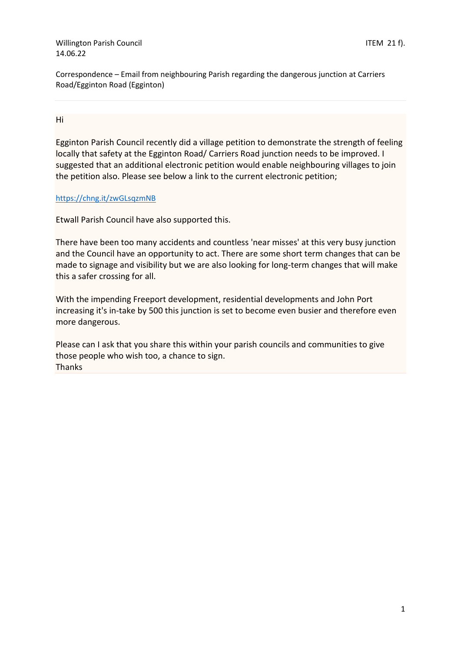Willington Parish Council and the control of the control of the control of the control of the control of the control of the control of the control of the control of the control of the control of the control of the control 14.06.22

Correspondence – Email from neighbouring Parish regarding the dangerous junction at Carriers Road/Egginton Road (Egginton)

Hi

Egginton Parish Council recently did a village petition to demonstrate the strength of feeling locally that safety at the Egginton Road/ Carriers Road junction needs to be improved. I suggested that an additional electronic petition would enable neighbouring villages to join the petition also. Please see below a link to the current electronic petition;

# <https://chng.it/zwGLsqzmNB>

Etwall Parish Council have also supported this.

There have been too many accidents and countless 'near misses' at this very busy junction and the Council have an opportunity to act. There are some short term changes that can be made to signage and visibility but we are also looking for long-term changes that will make this a safer crossing for all.

With the impending Freeport development, residential developments and John Port increasing it's in-take by 500 this junction is set to become even busier and therefore even more dangerous.

Please can I ask that you share this within your parish councils and communities to give those people who wish too, a chance to sign. Thanks